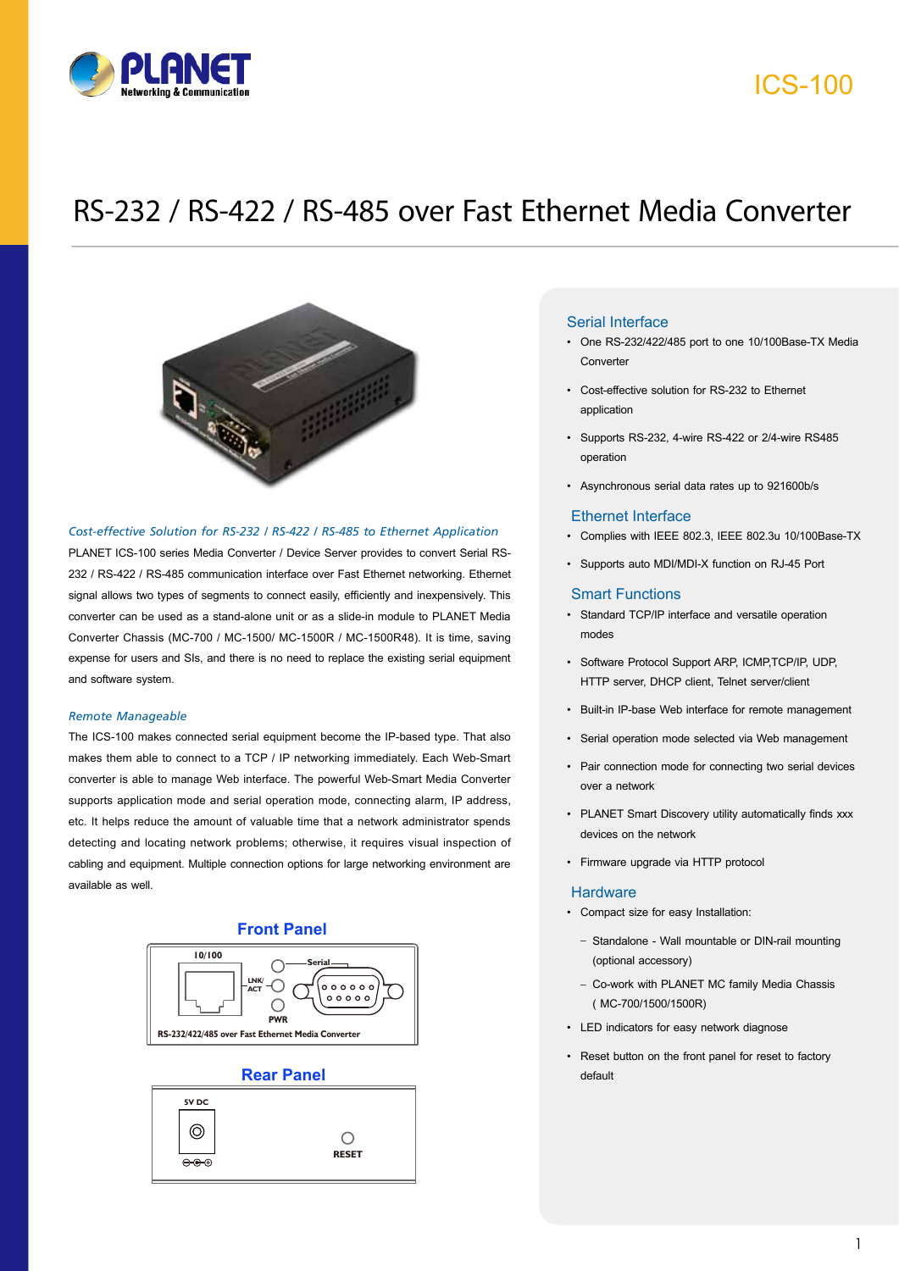

# ICS-100

# RS-232 / RS-422 / RS-485 over Fast Ethernet Media Converter



#### *Cost-effective Solution for RS-232 / RS-422 / RS-485 to Ethernet Application*

PLANET ICS-100 series Media Converter / Device Server provides to convert Serial RS-232 / RS-422 / RS-485 communication interface over Fast Ethernet networking. Ethernet signal allows two types of segments to connect easily, efficiently and inexpensively. This converter can be used as a stand-alone unit or as a slide-in module to PLANET Media Converter Chassis (MC-700 / MC-1500/ MC-1500R / MC-1500R48). It is time, saving expense for users and SIs, and there is no need to replace the existing serial equipment and software system.

#### *Remote Manageable*

The ICS-100 makes connected serial equipment become the IP-based type. That also makes them able to connect to a TCP / IP networking immediately. Each Web-Smart converter is able to manage Web interface. The powerful Web-Smart Media Converter supports application mode and serial operation mode, connecting alarm, IP address, etc. It helps reduce the amount of valuable time that a network administrator spends detecting and locating network problems; otherwise, it requires visual inspection of cabling and equipment. Multiple connection options for large networking environment are available as well.



### **Rear Panel** default



### Serial Interface

- One RS-232/422/485 port to one 10/100Base-TX Media Converter
- Cost-effective solution for RS-232 to Ethernet application
- Supports RS-232, 4-wire RS-422 or 2/4-wire RS485 operation
- Asynchronous serial data rates up to 921600b/s

#### Ethernet Interface

- Complies with IEEE 802.3, IEEE 802.3u 10/100Base-TX
- Supports auto MDI/MDI-X function on RJ-45 Port

#### Smart Functions

- Standard TCP/IP interface and versatile operation modes
- Software Protocol Support ARP, ICMP,TCP/IP, UDP, HTTP server, DHCP client, Telnet server/client
- Built-in IP-base Web interface for remote management
- Serial operation mode selected via Web management
- Pair connection mode for connecting two serial devices over a network
- PLANET Smart Discovery utility automatically finds xxx devices on the network
- Firmware upgrade via HTTP protocol

#### **Hardware**

- Compact size for easy Installation:
	- Standalone Wall mountable or DIN-rail mounting (optional accessory)
	- Co-work with PLANET MC family Media Chassis ( MC-700/1500/1500R)
- LED indicators for easy network diagnose
- Reset button on the front panel for reset to factory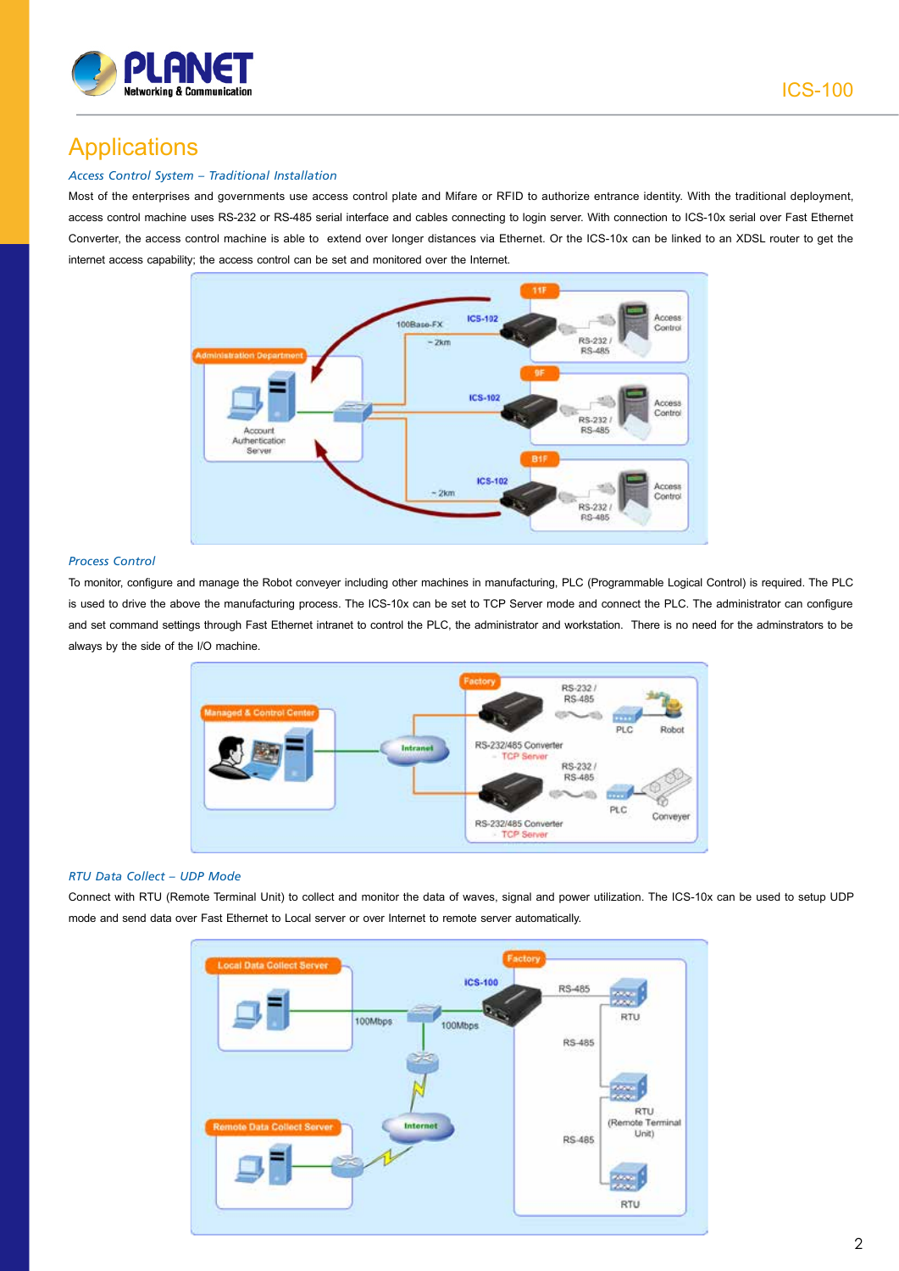

# Applications

### *Access Control System – Traditional Installation*

Most of the enterprises and governments use access control plate and Mifare or RFID to authorize entrance identity. With the traditional deployment, access control machine uses RS-232 or RS-485 serial interface and cables connecting to login server. With connection to ICS-10x serial over Fast Ethernet Converter, the access control machine is able to extend over longer distances via Ethernet. Or the ICS-10x can be linked to an XDSL router to get the internet access capability; the access control can be set and monitored over the Internet.



#### *Process Control*

To monitor, configure and manage the Robot conveyer including other machines in manufacturing, PLC (Programmable Logical Control) is required. The PLC is used to drive the above the manufacturing process. The ICS-10x can be set to TCP Server mode and connect the PLC. The administrator can configure and set command settings through Fast Ethernet intranet to control the PLC, the administrator and workstation. There is no need for the adminstrators to be always by the side of the I/O machine.



#### *RTU Data Collect – UDP Mode*

Connect with RTU (Remote Terminal Unit) to collect and monitor the data of waves, signal and power utilization. The ICS-10x can be used to setup UDP mode and send data over Fast Ethernet to Local server or over Internet to remote server automatically.

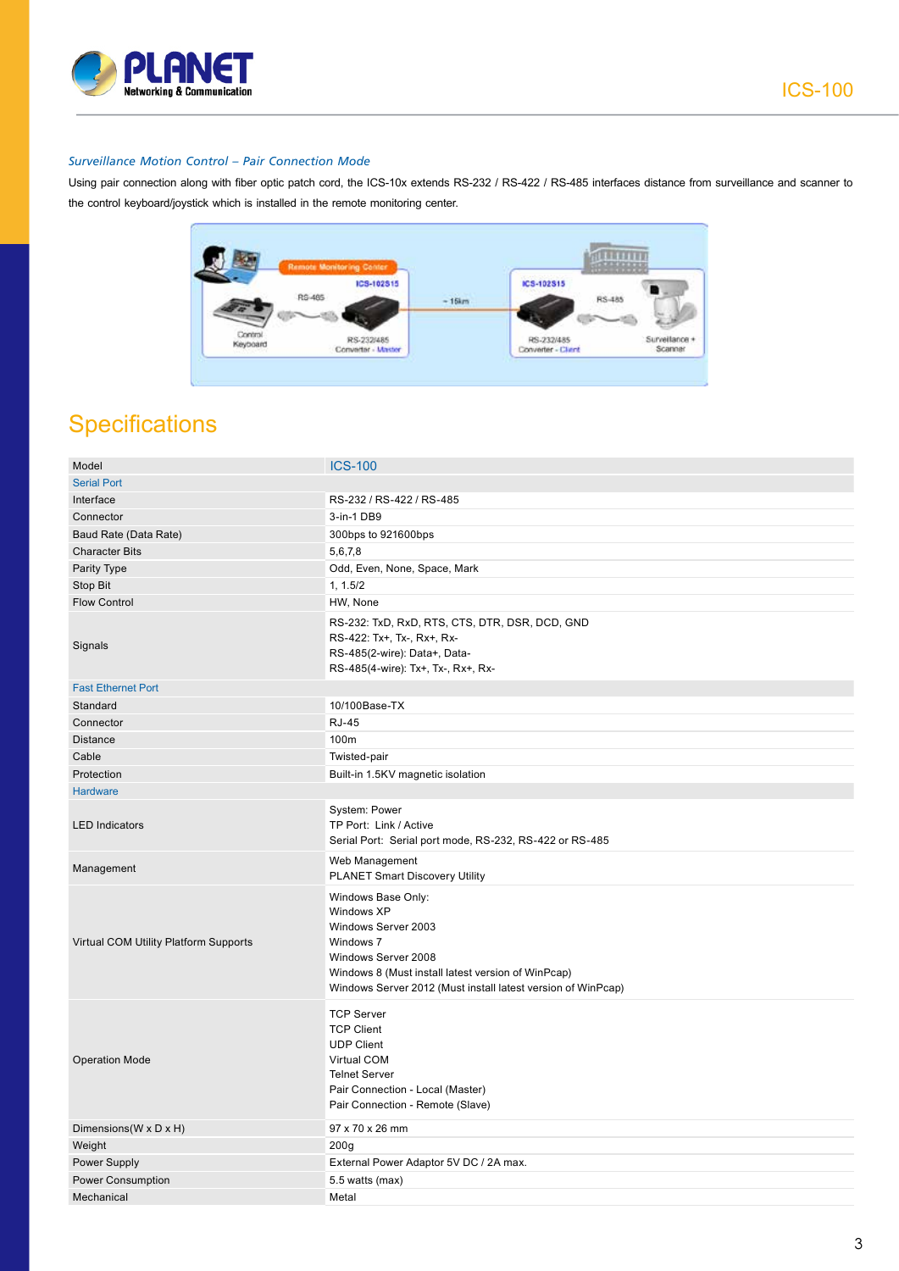

### *Surveillance Motion Control – Pair Connection Mode*

Using pair connection along with fiber optic patch cord, the ICS-10x extends RS-232 / RS-422 / RS-485 interfaces distance from surveillance and scanner to the control keyboard/joystick which is installed in the remote monitoring center.



### **Specifications**

| Model                                 | <b>ICS-100</b>                                                                                                                                                                                                    |
|---------------------------------------|-------------------------------------------------------------------------------------------------------------------------------------------------------------------------------------------------------------------|
| <b>Serial Port</b>                    |                                                                                                                                                                                                                   |
| Interface                             | RS-232 / RS-422 / RS-485                                                                                                                                                                                          |
| Connector                             | 3-in-1 DB9                                                                                                                                                                                                        |
| Baud Rate (Data Rate)                 | 300bps to 921600bps                                                                                                                                                                                               |
| <b>Character Bits</b>                 | 5,6,7,8                                                                                                                                                                                                           |
| Parity Type                           | Odd, Even, None, Space, Mark                                                                                                                                                                                      |
| Stop Bit                              | 1, 1.5/2                                                                                                                                                                                                          |
| <b>Flow Control</b>                   | HW, None                                                                                                                                                                                                          |
| Signals                               | RS-232: TxD, RxD, RTS, CTS, DTR, DSR, DCD, GND<br>RS-422: Tx+, Tx-, Rx+, Rx-<br>RS-485(2-wire): Data+, Data-<br>RS-485(4-wire): Tx+, Tx-, Rx+, Rx-                                                                |
| <b>Fast Ethernet Port</b>             |                                                                                                                                                                                                                   |
| Standard                              | 10/100Base-TX                                                                                                                                                                                                     |
| Connector                             | <b>RJ-45</b>                                                                                                                                                                                                      |
| <b>Distance</b>                       | 100m                                                                                                                                                                                                              |
| Cable                                 | Twisted-pair                                                                                                                                                                                                      |
| Protection                            | Built-in 1.5KV magnetic isolation                                                                                                                                                                                 |
| <b>Hardware</b>                       |                                                                                                                                                                                                                   |
| <b>LED Indicators</b>                 | System: Power<br>TP Port: Link / Active<br>Serial Port: Serial port mode, RS-232, RS-422 or RS-485                                                                                                                |
| Management                            | Web Management<br>PLANET Smart Discovery Utility                                                                                                                                                                  |
| Virtual COM Utility Platform Supports | Windows Base Only:<br>Windows XP<br>Windows Server 2003<br>Windows 7<br>Windows Server 2008<br>Windows 8 (Must install latest version of WinPcap)<br>Windows Server 2012 (Must install latest version of WinPcap) |
| <b>Operation Mode</b>                 | <b>TCP Server</b><br><b>TCP Client</b><br><b>UDP Client</b><br>Virtual COM<br><b>Telnet Server</b><br>Pair Connection - Local (Master)<br>Pair Connection - Remote (Slave)                                        |
| Dimensions (W x D x H)                | 97 x 70 x 26 mm                                                                                                                                                                                                   |
| Weight                                | 200 <sub>g</sub>                                                                                                                                                                                                  |
| Power Supply                          | External Power Adaptor 5V DC / 2A max.                                                                                                                                                                            |
| Power Consumption                     | 5.5 watts (max)                                                                                                                                                                                                   |
| Mechanical                            | Metal                                                                                                                                                                                                             |
|                                       |                                                                                                                                                                                                                   |